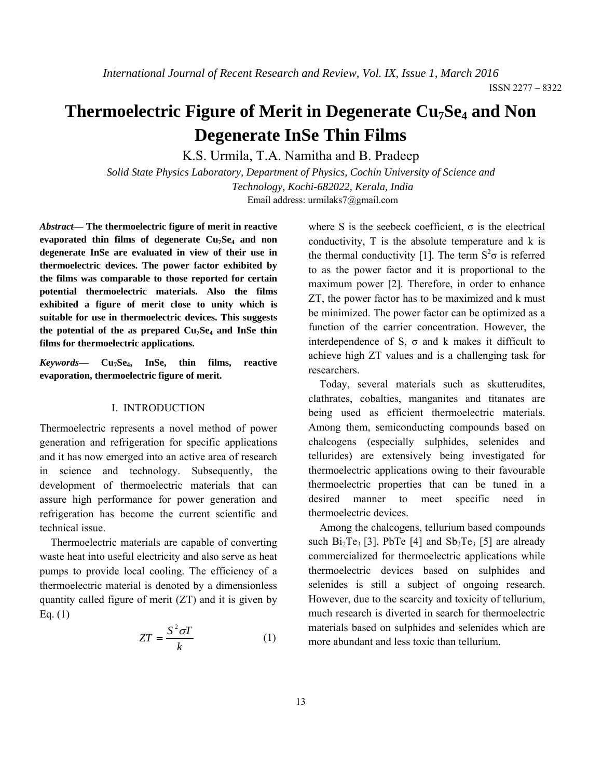# **Thermoelectric Figure of Merit in Degenerate Cu<sub>7</sub>Se<sub>4</sub> and Non Degenerate InSe Thin Films**

K.S. Urmila, T.A. Namitha and B. Pradeep

*Solid State Physics Laboratory, Department of Physics, Cochin University of Science and Technology, Kochi-682022, Kerala, India*  Email address: urmilaks7@gmail.com

*Abstract***— The thermoelectric figure of merit in reactive**  evaporated thin films of degenerate Cu<sub>7</sub>Se<sub>4</sub> and non **degenerate InSe are evaluated in view of their use in thermoelectric devices. The power factor exhibited by the films was comparable to those reported for certain potential thermoelectric materials. Also the films exhibited a figure of merit close to unity which is suitable for use in thermoelectric devices. This suggests**  the potential of the as prepared Cu<sub>7</sub>Se<sub>4</sub> and InSe thin **films for thermoelectric applications.** 

*Keywords***— Cu7Se4, InSe, thin films, reactive evaporation, thermoelectric figure of merit.** 

#### I. INTRODUCTION

Thermoelectric represents a novel method of power generation and refrigeration for specific applications and it has now emerged into an active area of research in science and technology. Subsequently, the development of thermoelectric materials that can assure high performance for power generation and refrigeration has become the current scientific and technical issue.

Thermoelectric materials are capable of converting waste heat into useful electricity and also serve as heat pumps to provide local cooling. The efficiency of a thermoelectric material is denoted by a dimensionless quantity called figure of merit  $(ZT)$  and it is given by Eq. (1)

$$
ZT = \frac{S^2 \sigma T}{k} \tag{1}
$$

where S is the seebeck coefficient,  $\sigma$  is the electrical conductivity, T is the absolute temperature and k is the thermal conductivity [1]. The term  $S^2\sigma$  is referred to as the power factor and it is proportional to the maximum power [2]. Therefore, in order to enhance ZT, the power factor has to be maximized and k must be minimized. The power factor can be optimized as a function of the carrier concentration. However, the interdependence of S,  $\sigma$  and k makes it difficult to achieve high ZT values and is a challenging task for researchers.

Today, several materials such as skutterudites, clathrates, cobalties, manganites and titanates are being used as efficient thermoelectric materials. Among them, semiconducting compounds based on chalcogens (especially sulphides, selenides and tellurides) are extensively being investigated for thermoelectric applications owing to their favourable thermoelectric properties that can be tuned in a desired manner to meet specific need in thermoelectric devices.

Among the chalcogens, tellurium based compounds such  $Bi_2Te_3$  [3], PbTe [4] and  $Sb_2Te_3$  [5] are already commercialized for thermoelectric applications while thermoelectric devices based on sulphides and selenides is still a subject of ongoing research. However, due to the scarcity and toxicity of tellurium, much research is diverted in search for thermoelectric materials based on sulphides and selenides which are more abundant and less toxic than tellurium.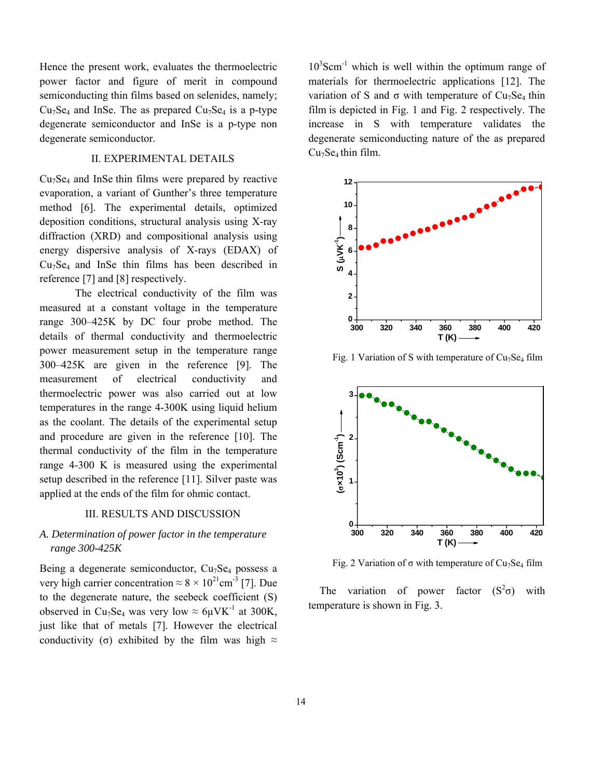Hence the present work, evaluates the thermoelectric power factor and figure of merit in compound semiconducting thin films based on selenides, namely;  $Cu<sub>7</sub>Se<sub>4</sub>$  and InSe. The as prepared  $Cu<sub>7</sub>Se<sub>4</sub>$  is a p-type degenerate semiconductor and InSe is a p-type non degenerate semiconductor.

# II. EXPERIMENTAL DETAILS

 $Cu<sub>7</sub>Se<sub>4</sub>$  and InSe thin films were prepared by reactive evaporation, a variant of Gunther's three temperature method [6]. The experimental details, optimized deposition conditions, structural analysis using X-ray diffraction (XRD) and compositional analysis using energy dispersive analysis of X-rays (EDAX) of  $Cu<sub>7</sub>Se<sub>4</sub>$  and InSe thin films has been described in reference [7] and [8] respectively.

The electrical conductivity of the film was measured at a constant voltage in the temperature range 300–425K by DC four probe method. The details of thermal conductivity and thermoelectric power measurement setup in the temperature range 300–425K are given in the reference [9]. The measurement of electrical conductivity and thermoelectric power was also carried out at low temperatures in the range 4-300K using liquid helium as the coolant. The details of the experimental setup and procedure are given in the reference [10]. The thermal conductivity of the film in the temperature range 4-300 K is measured using the experimental setup described in the reference [11]. Silver paste was applied at the ends of the film for ohmic contact.

## III. RESULTS AND DISCUSSION

# *A. Determination of power factor in the temperature range 300-425K*

Being a degenerate semiconductor,  $Cu<sub>7</sub>Se<sub>4</sub>$  possess a very high carrier concentration  $\approx 8 \times 10^{21}$ cm<sup>-3</sup> [7]. Due to the degenerate nature, the seebeck coefficient (S) observed in Cu<sub>7</sub>Se<sub>4</sub> was very low  $\approx 6\mu$ VK<sup>-1</sup> at 300K, just like that of metals [7]. However the electrical conductivity (σ) exhibited by the film was high  $\approx$ 

10<sup>3</sup>Scm<sup>-1</sup> which is well within the optimum range of materials for thermoelectric applications [12]. The variation of S and  $\sigma$  with temperature of Cu<sub>7</sub>Se<sub>4</sub> thin film is depicted in Fig. 1 and Fig. 2 respectively. The increase in S with temperature validates the degenerate semiconducting nature of the as prepared  $Cu<sub>7</sub>Se<sub>4</sub>$  thin film.



Fig. 1 Variation of S with temperature of  $Cu<sub>7</sub>Se<sub>4</sub>$  film



Fig. 2 Variation of  $\sigma$  with temperature of Cu<sub>7</sub>Se<sub>4</sub> film

The variation of power factor  $(S^2\sigma)$  with temperature is shown in Fig. 3.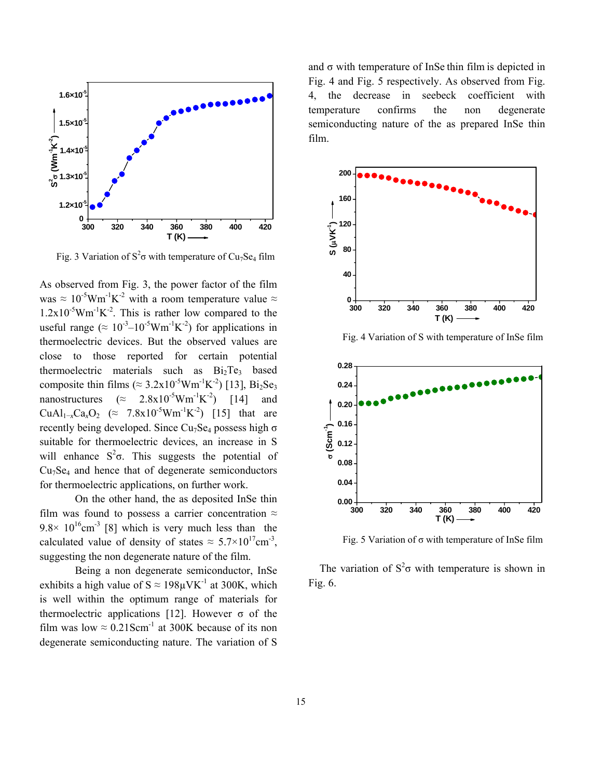

Fig. 3 Variation of  $S^2\sigma$  with temperature of Cu<sub>7</sub>Se<sub>4</sub> film

As observed from Fig. 3, the power factor of the film was  $\approx 10^{-5}$ Wm<sup>-1</sup>K<sup>-2</sup> with a room temperature value  $\approx$  $1.2x10^{-5}Wm^{-1}K^{-2}$ . This is rather low compared to the useful range ( $\approx 10^{-3} - 10^{-5}$ Wm<sup>-1</sup>K<sup>-2</sup>) for applications in thermoelectric devices. But the observed values are close to those reported for certain potential thermoelectric materials such as  $Bi<sub>2</sub>Te<sub>3</sub>$  based composite thin films ( $\approx 3.2 \times 10^{-5}$ Wm<sup>-1</sup>K<sup>-2</sup>) [13], Bi<sub>2</sub>Se<sub>3</sub> nanostructures  $(\approx 2.8 \times 10^{-5} \text{W} \text{m}^{-1} \text{K}^{-2})$  [14] and  $CuAl_{1-x}Ca_xO_2$  (≈ 7.8x10<sup>-5</sup>Wm<sup>-1</sup>K<sup>-2</sup>) [15] that are recently being developed. Since  $Cu<sub>7</sub>Se<sub>4</sub>$  possess high  $\sigma$ suitable for thermoelectric devices, an increase in S will enhance  $S^2 \sigma$ . This suggests the potential of  $Cu<sub>7</sub>Se<sub>4</sub>$  and hence that of degenerate semiconductors for thermoelectric applications, on further work.

On the other hand, the as deposited InSe thin film was found to possess a carrier concentration  $\approx$  $9.8 \times 10^{16}$ cm<sup>-3</sup> [8] which is very much less than the calculated value of density of states  $\approx 5.7 \times 10^{17}$ cm<sup>-3</sup>, suggesting the non degenerate nature of the film.

Being a non degenerate semiconductor, InSe exhibits a high value of  $S \approx 198 \mu V K^{-1}$  at 300K, which is well within the optimum range of materials for thermoelectric applications [12]. However  $\sigma$  of the film was low  $\approx 0.21$ Scm<sup>-1</sup> at 300K because of its non degenerate semiconducting nature. The variation of S

and  $\sigma$  with temperature of InSe thin film is depicted in Fig. 4 and Fig. 5 respectively. As observed from Fig. 4, the decrease in seebeck coefficient with temperature confirms the non degenerate semiconducting nature of the as prepared InSe thin film.



Fig. 4 Variation of S with temperature of InSe film



Fig. 5 Variation of  $\sigma$  with temperature of InSe film

The variation of  $S^2\sigma$  with temperature is shown in Fig. 6.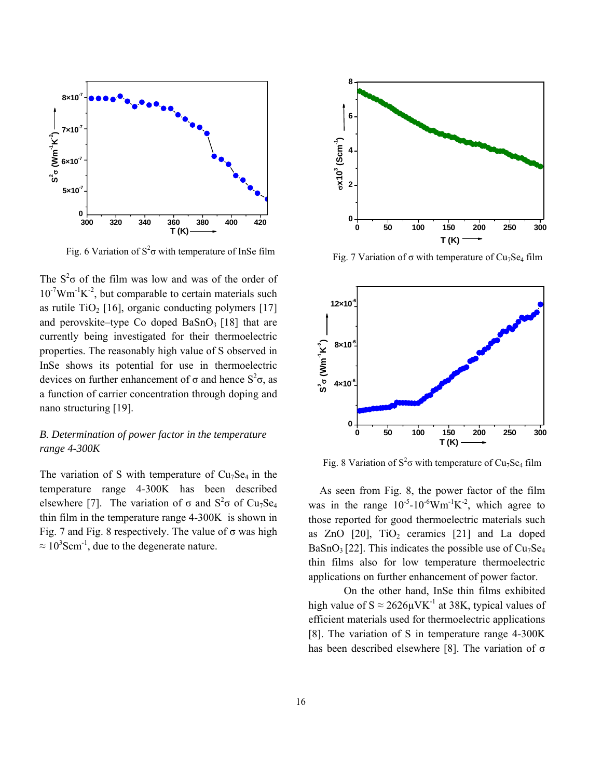

Fig. 6 Variation of  $S^2\sigma$  with temperature of InSe film

The  $S^2\sigma$  of the film was low and was of the order of  $10^{-7}$ Wm<sup>-1</sup>K<sup>-2</sup>, but comparable to certain materials such as rutile TiO<sub>2</sub> [16], organic conducting polymers [17] and perovskite–type Co doped  $BaSnO<sub>3</sub>$  [18] that are currently being investigated for their thermoelectric properties. The reasonably high value of S observed in InSe shows its potential for use in thermoelectric devices on further enhancement of σ and hence  $S^2$ σ, as a function of carrier concentration through doping and nano structuring [19].

# *B. Determination of power factor in the temperature range 4-300K*

The variation of S with temperature of  $Cu<sub>7</sub>Se<sub>4</sub>$  in the temperature range 4-300K has been described elsewhere [7]. The variation of  $\sigma$  and  $S^2 \sigma$  of Cu<sub>7</sub>Se<sub>4</sub> thin film in the temperature range 4-300K is shown in Fig. 7 and Fig. 8 respectively. The value of  $\sigma$  was high  $\approx 10^3$ Scm<sup>-1</sup>, due to the degenerate nature.



Fig. 7 Variation of  $\sigma$  with temperature of Cu<sub>7</sub>Se<sub>4</sub> film



Fig. 8 Variation of  $S^2\sigma$  with temperature of Cu<sub>7</sub>Se<sub>4</sub> film

As seen from Fig. 8, the power factor of the film was in the range  $10^{-5}$ -10<sup>-6</sup>Wm<sup>-1</sup>K<sup>-2</sup>, which agree to those reported for good thermoelectric materials such as ZnO  $[20]$ ,  $TiO<sub>2</sub>$  ceramics  $[21]$  and La doped  $BaSnO<sub>3</sub>[22]$ . This indicates the possible use of  $Cu<sub>7</sub>Se<sub>4</sub>$ thin films also for low temperature thermoelectric applications on further enhancement of power factor.

On the other hand, InSe thin films exhibited high value of  $S \approx 2626 \mu V K^{-1}$  at 38K, typical values of efficient materials used for thermoelectric applications [8]. The variation of S in temperature range 4-300K has been described elsewhere [8]. The variation of σ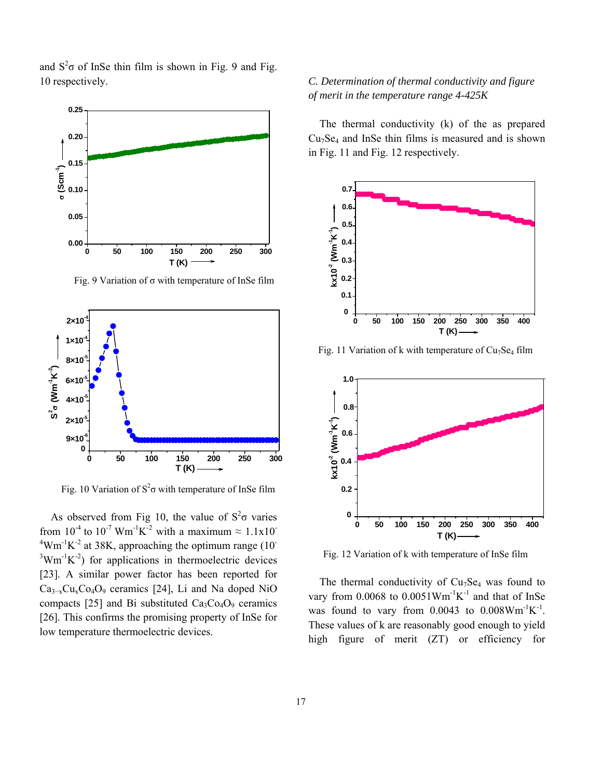and  $S^2\sigma$  of InSe thin film is shown in Fig. 9 and Fig. 10 respectively.



Fig. 9 Variation of σ with temperature of InSe film



Fig. 10 Variation of  $S^2\sigma$  with temperature of InSe film

As observed from Fig 10, the value of  $S^2\sigma$  varies from  $10^{-4}$  to  $10^{-7}$  Wm<sup>-1</sup>K<sup>-2</sup> with a maximum  $\approx 1.1x10^{-7}$  $4$ Wm<sup>-1</sup>K<sup>-2</sup> at 38K, approaching the optimum range (10<sup>-4</sup>)  $3$ Wm<sup>-1</sup>K<sup>-2</sup>) for applications in thermoelectric devices [23]. A similar power factor has been reported for  $Ca<sub>3-x</sub>Cu<sub>x</sub>Co<sub>4</sub>O<sub>9</sub>$  ceramics [24], Li and Na doped NiO compacts [25] and Bi substituted  $Ca_3Co_4O_9$  ceramics [26]. This confirms the promising property of InSe for low temperature thermoelectric devices.

# *C. Determination of thermal conductivity and figure of merit in the temperature range 4-425K*

The thermal conductivity (k) of the as prepared  $Cu<sub>7</sub>Se<sub>4</sub>$  and InSe thin films is measured and is shown in Fig. 11 and Fig. 12 respectively.



Fig. 11 Variation of k with temperature of  $Cu<sub>7</sub>Se<sub>4</sub>$  film



Fig. 12 Variation of k with temperature of InSe film

The thermal conductivity of  $Cu<sub>7</sub>Se<sub>4</sub>$  was found to vary from  $0.0068$  to  $0.0051$ Wm<sup>-1</sup>K<sup>-1</sup> and that of InSe was found to vary from  $0.0043$  to  $0.008$ Wm<sup>-1</sup>K<sup>-1</sup>. These values of k are reasonably good enough to yield high figure of merit (ZT) or efficiency for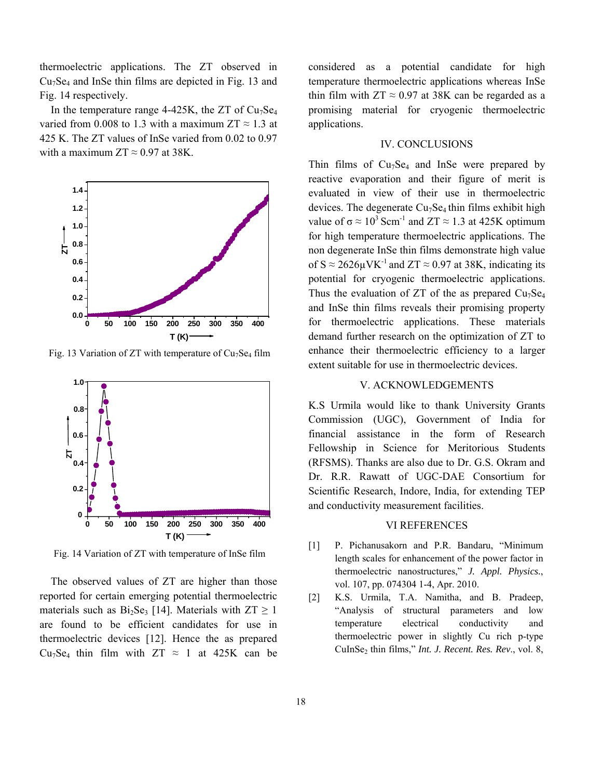thermoelectric applications. The ZT observed in  $Cu<sub>7</sub>Se<sub>4</sub>$  and InSe thin films are depicted in Fig. 13 and Fig. 14 respectively.

In the temperature range 4-425K, the ZT of  $Cu<sub>7</sub>Se<sub>4</sub>$ varied from 0.008 to 1.3 with a maximum  $ZT \approx 1.3$  at 425 K. The ZT values of InSe varied from 0.02 to 0.97 with a maximum  $ZT \approx 0.97$  at 38K.



Fig. 13 Variation of ZT with temperature of  $Cu<sub>7</sub>Se<sub>4</sub>$  film



Fig. 14 Variation of ZT with temperature of InSe film

The observed values of ZT are higher than those reported for certain emerging potential thermoelectric materials such as  $Bi<sub>2</sub>Se<sub>3</sub>$  [14]. Materials with  $ZT \ge 1$ are found to be efficient candidates for use in thermoelectric devices [12]. Hence the as prepared Cu<sub>7</sub>Se<sub>4</sub> thin film with  $ZT \approx 1$  at 425K can be

considered as a potential candidate for high temperature thermoelectric applications whereas InSe thin film with  $ZT \approx 0.97$  at 38K can be regarded as a promising material for cryogenic thermoelectric applications.

#### IV. CONCLUSIONS

Thin films of  $Cu<sub>7</sub>Se<sub>4</sub>$  and InSe were prepared by reactive evaporation and their figure of merit is evaluated in view of their use in thermoelectric devices. The degenerate  $Cu<sub>7</sub>Se<sub>4</sub>$  thin films exhibit high value of  $\sigma \approx 10^3$  Scm<sup>-1</sup> and ZT  $\approx 1.3$  at 425K optimum for high temperature thermoelectric applications. The non degenerate InSe thin films demonstrate high value of  $S \approx 2626 \mu V K^{-1}$  and  $ZT \approx 0.97$  at 38K, indicating its potential for cryogenic thermoelectric applications. Thus the evaluation of ZT of the as prepared  $Cu<sub>7</sub>Se<sub>4</sub>$ and InSe thin films reveals their promising property for thermoelectric applications. These materials demand further research on the optimization of ZT to enhance their thermoelectric efficiency to a larger extent suitable for use in thermoelectric devices.

## V. ACKNOWLEDGEMENTS

K.S Urmila would like to thank University Grants Commission (UGC), Government of India for financial assistance in the form of Research Fellowship in Science for Meritorious Students (RFSMS). Thanks are also due to Dr. G.S. Okram and Dr. R.R. Rawatt of UGC-DAE Consortium for Scientific Research, Indore, India, for extending TEP and conductivity measurement facilities.

### VI REFERENCES

- [1] P. Pichanusakorn and P.R. Bandaru, "Minimum length scales for enhancement of the power factor in thermoelectric nanostructures," *J. Appl. Physics.*, vol. 107, pp. 074304 1-4, Apr. 2010.
- [2] K.S. Urmila, T.A. Namitha, and B. Pradeep, "Analysis of structural parameters and low temperature electrical conductivity and thermoelectric power in slightly Cu rich p-type CuInSe2 thin films," *Int. J. Recent. Res. Rev*., vol. 8,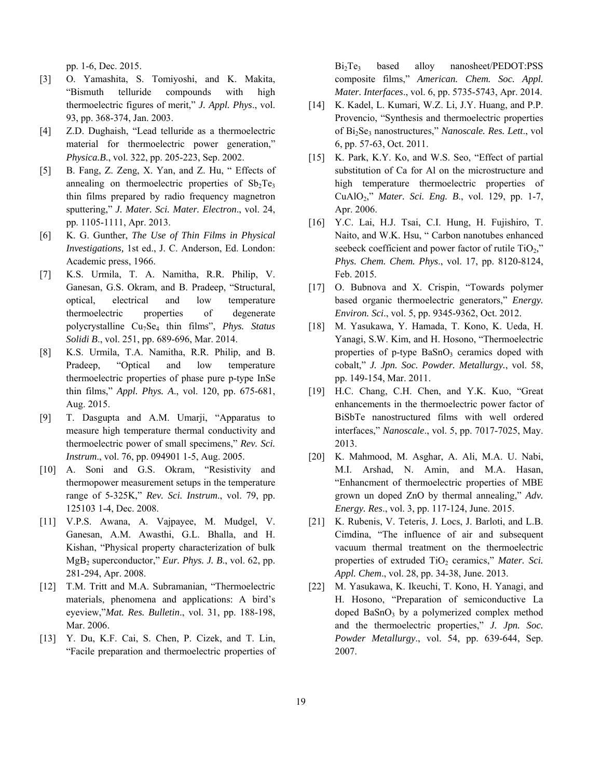pp. 1-6, Dec. 2015.

- [3] O. Yamashita, S. Tomiyoshi, and K. Makita, "Bismuth telluride compounds with high thermoelectric figures of merit," *J. Appl. Phys*., vol. 93, pp. 368-374, Jan. 2003.
- [4] Z.D. Dughaish, "Lead telluride as a thermoelectric material for thermoelectric power generation," *Physica.B*., vol. 322, pp. 205-223, Sep. 2002.
- [5] B. Fang, Z. Zeng, X. Yan, and Z. Hu, " Effects of annealing on thermoelectric properties of  $Sb<sub>2</sub>Te<sub>3</sub>$ thin films prepared by radio frequency magnetron sputtering," *J. Mater. Sci. Mater. Electron*., vol. 24, pp. 1105-1111, Apr. 2013.
- [6] K. G. Gunther, *The Use of Thin Films in Physical Investigations,* 1st ed., J. C. Anderson, Ed. London: Academic press, 1966.
- [7] K.S. Urmila, T. A. Namitha, R.R. Philip, V. Ganesan, G.S. Okram, and B. Pradeep, "Structural, optical, electrical and low temperature thermoelectric properties of degenerate polycrystalline Cu7Se4 thin films", *Phys. Status Solidi B*., vol. 251, pp. 689-696, Mar. 2014.
- [8] K.S. Urmila, T.A. Namitha, R.R. Philip, and B. Pradeep, "Optical and low temperature thermoelectric properties of phase pure p-type InSe thin films," *Appl. Phys. A*., vol. 120, pp. 675-681, Aug. 2015.
- [9] T. Dasgupta and A.M. Umarji, "Apparatus to measure high temperature thermal conductivity and thermoelectric power of small specimens," *Rev. Sci. Instrum*., vol. 76, pp. 094901 1-5, Aug. 2005.
- [10] A. Soni and G.S. Okram, "Resistivity and thermopower measurement setups in the temperature range of 5-325K," *Rev. Sci. Instrum*., vol. 79, pp. 125103 1-4, Dec. 2008.
- [11] V.P.S. Awana, A. Vajpayee, M. Mudgel, V. Ganesan, A.M. Awasthi, G.L. Bhalla, and H. Kishan, "Physical property characterization of bulk MgB2 superconductor," *Eur. Phys. J. B*., vol. 62, pp. 281-294, Apr. 2008.
- [12] T.M. Tritt and M.A. Subramanian, "Thermoelectric materials, phenomena and applications: A bird's eyeview,"*Mat. Res. Bulletin*., vol. 31, pp. 188-198, Mar. 2006.
- [13] Y. Du, K.F. Cai, S. Chen, P. Cizek, and T. Lin, "Facile preparation and thermoelectric properties of

Bi<sub>2</sub>Te<sub>3</sub> based alloy nanosheet/PEDOT:PSS composite films," *American. Chem. Soc. Appl. Mater. Interfaces*., vol. 6, pp. 5735-5743, Apr. 2014.

- [14] K. Kadel, L. Kumari, W.Z. Li, J.Y. Huang, and P.P. Provencio, "Synthesis and thermoelectric properties of Bi<sub>2</sub>Se<sub>3</sub> nanostructures," *Nanoscale. Res. Lett.*, vol 6, pp. 57-63, Oct. 2011.
- [15] K. Park, K.Y. Ko, and W.S. Seo, "Effect of partial substitution of Ca for Al on the microstructure and high temperature thermoelectric properties of CuAlO2," *Mater. Sci. Eng. B*., vol. 129, pp. 1-7, Apr. 2006.
- [16] Y.C. Lai, H.J. Tsai, C.I. Hung, H. Fujishiro, T. Naito, and W.K. Hsu, " Carbon nanotubes enhanced seebeck coefficient and power factor of rutile  $TiO<sub>2</sub>$ ," *Phys. Chem. Chem. Phys*., vol. 17, pp. 8120-8124, Feb. 2015.
- [17] O. Bubnova and X. Crispin, "Towards polymer based organic thermoelectric generators," *Energy. Environ. Sci*., vol. 5, pp. 9345-9362, Oct. 2012.
- [18] M. Yasukawa, Y. Hamada, T. Kono, K. Ueda, H. Yanagi, S.W. Kim, and H. Hosono, "Thermoelectric properties of  $p$ -type  $BaSnO<sub>3</sub>$  ceramics doped with cobalt," *J. Jpn. Soc. Powder. Metallurgy.*, vol. 58, pp. 149-154, Mar. 2011.
- [19] H.C. Chang, C.H. Chen, and Y.K. Kuo, "Great enhancements in the thermoelectric power factor of BiSbTe nanostructured films with well ordered interfaces," *Nanoscale*., vol. 5, pp. 7017-7025, May. 2013.
- [20] K. Mahmood, M. Asghar, A. Ali, M.A. U. Nabi, M.I. Arshad, N. Amin, and M.A. Hasan, "Enhancment of thermoelectric properties of MBE grown un doped ZnO by thermal annealing," *Adv. Energy. Res*., vol. 3, pp. 117-124, June. 2015.
- [21] K. Rubenis, V. Teteris, J. Locs, J. Barloti, and L.B. Cimdina, "The influence of air and subsequent vacuum thermal treatment on the thermoelectric properties of extruded TiO<sub>2</sub> ceramics," *Mater. Sci. Appl. Chem*., vol. 28, pp. 34-38, June. 2013.
- [22] M. Yasukawa, K. Ikeuchi, T. Kono, H. Yanagi, and H. Hosono, "Preparation of semiconductive La doped  $BaSnO<sub>3</sub>$  by a polymerized complex method and the thermoelectric properties," *J. Jpn. Soc. Powder Metallurgy*., vol. 54, pp. 639-644, Sep. 2007.